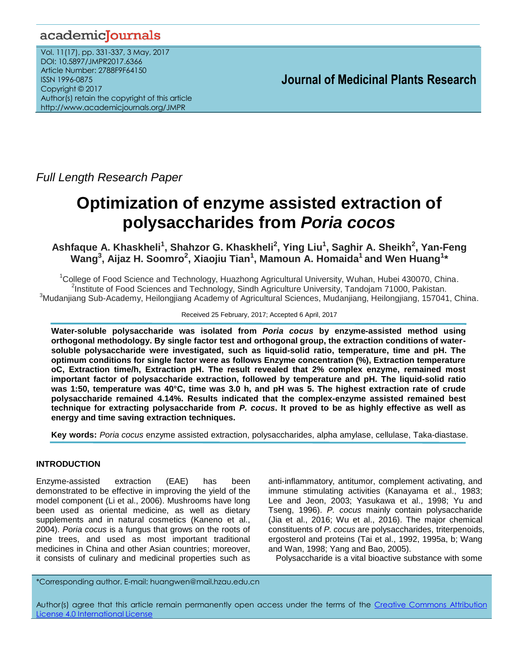# academicJournals

Vol. 11(17), pp. 331-337, 3 May, 2017 DOI: 10.5897/JMPR2017.6366 Article Number: 2788F9F64150 ISSN 1996-0875 Copyright © 2017 Author(s) retain the copyright of this article http://www.academicjournals.org/JMPR

 **Journal of Medicinal Plants Research**

*Full Length Research Paper* 

# **Optimization of enzyme assisted extraction of polysaccharides from** *Poria cocos*

**Ashfaque A. Khaskheli<sup>1</sup> , Shahzor G. Khaskheli<sup>2</sup> , Ying Liu<sup>1</sup> , Saghir A. Sheikh<sup>2</sup> , Yan-Feng Wang<sup>3</sup> , Aijaz H. Soomro<sup>2</sup> , Xiaojiu Tian<sup>1</sup> , Mamoun A. Homaida<sup>1</sup> and Wen Huang<sup>1</sup> \***

<sup>1</sup>College of Food Science and Technology, Huazhong Agricultural University, Wuhan, Hubei 430070, China. <sup>2</sup>Institute of Food Sciences and Technology, Sindh Agriculture University, Tandojam 71000, Pakistan. <sup>3</sup>Mudanjiang Sub-Academy, Heilongjiang Academy of Agricultural Sciences, Mudanjiang, Heilongjiang, 157041, China.

#### Received 25 February, 2017; Accepted 6 April, 2017

**Water-soluble polysaccharide was isolated from** *Poria cocus* **by enzyme-assisted method using orthogonal methodology. By single factor test and orthogonal group, the extraction conditions of watersoluble polysaccharide were investigated, such as liquid-solid ratio, temperature, time and pH. The optimum conditions for single factor were as follows Enzyme concentration (%), Extraction temperature oC, Extraction time/h, Extraction pH. The result revealed that 2% complex enzyme, remained most important factor of polysaccharide extraction, followed by temperature and pH. The liquid-solid ratio was 1:50, temperature was 40°C, time was 3.0 h, and pH was 5. The highest extraction rate of crude polysaccharide remained 4.14%. Results indicated that the complex-enzyme assisted remained best technique for extracting polysaccharide from** *P. cocus***. It proved to be as highly effective as well as energy and time saving extraction techniques.**

**Key words:** *Poria cocus* enzyme assisted extraction, polysaccharides, alpha amylase, cellulase, Taka-diastase.

# **INTRODUCTION**

Enzyme-assisted extraction (EAE) has been demonstrated to be effective in improving the yield of the model component (Li et al., 2006). Mushrooms have long been used as oriental medicine, as well as dietary supplements and in natural cosmetics (Kaneno et al., 2004). *Poria cocus* is a fungus that grows on the roots of pine trees, and used as most important traditional medicines in China and other Asian countries; moreover, it consists of culinary and medicinal properties such as anti-inflammatory, antitumor, complement activating, and immune stimulating activities (Kanayama et al., 1983; Lee and Jeon, 2003; Yasukawa et al., 1998; Yu and Tseng, 1996). *P. cocus* mainly contain polysaccharide (Jia et al., 2016; Wu et al., 2016). The major chemical constituents of *P. cocus* are polysaccharides, triterpenoids, ergosterol and proteins (Tai et al., 1992, 1995a, b; Wang and Wan, 1998; Yang and Bao, 2005).

Polysaccharide is a vital bioactive substance with some

\*Corresponding author. E-mail: huangwen@mail.hzau.edu.cn

Author(s) agree that this article remain permanently open access under the terms of the Creative Commons Attribution License 4.0 [International](http://creativecommons.org/licenses/by/4.0/deed.en_US) License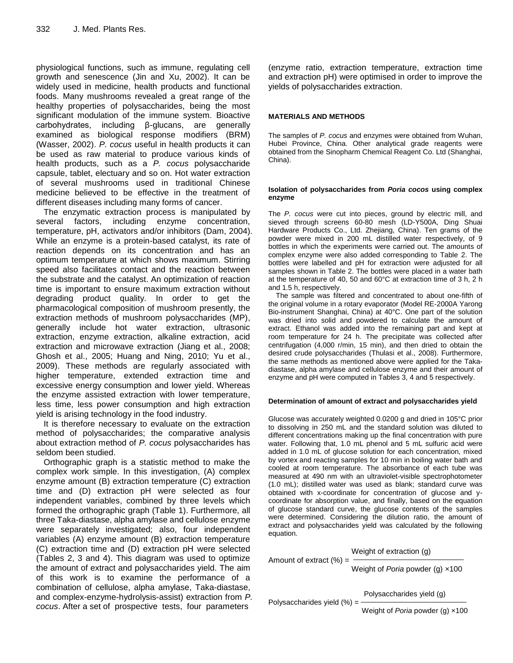physiological functions, such as immune, regulating cell growth and senescence (Jin and Xu, 2002). It can be widely used in medicine, health products and functional foods. Many mushrooms revealed a great range of the healthy properties of polysaccharides, being the most significant modulation of the immune system. Bioactive carbohydrates, including β-glucans, are generally examined as biological response modifiers (BRM) (Wasser, 2002). *P. cocus* useful in health products it can be used as raw material to produce various kinds of health products, such as a *P. cocus* polysaccharide capsule, tablet, electuary and so on. Hot water extraction of several mushrooms used in traditional Chinese medicine believed to be effective in the treatment of different diseases including many forms of cancer.

The enzymatic extraction process is manipulated by several factors, including enzyme concentration, temperature, pH, activators and/or inhibitors (Dam, 2004). While an enzyme is a protein-based catalyst, its rate of reaction depends on its concentration and has an optimum temperature at which shows maximum. Stirring speed also facilitates contact and the reaction between the substrate and the catalyst. An optimization of reaction time is important to ensure maximum extraction without degrading product quality. In order to get the pharmacological composition of mushroom presently, the extraction methods of mushroom polysaccharides (MP), generally include hot water extraction, ultrasonic extraction, enzyme extraction, alkaline extraction, acid extraction and microwave extraction (Jiang et al., 2008; Ghosh et al., 2005; Huang and Ning, 2010; Yu et al., 2009). These methods are regularly associated with higher temperature, extended extraction time and excessive energy consumption and lower yield. Whereas the enzyme assisted extraction with lower temperature, less time, less power consumption and high extraction yield is arising technology in the food industry.

It is therefore necessary to evaluate on the extraction method of polysaccharides; the comparative analysis about extraction method of *P. cocus* polysaccharides has seldom been studied.

Orthographic graph is a statistic method to make the complex work simple. In this investigation, (A) complex enzyme amount (B) extraction temperature (C) extraction time and (D) extraction pH were selected as four independent variables, combined by three levels which formed the orthographic graph (Table 1). Furthermore, all three Taka-diastase, alpha amylase and cellulose enzyme were separately investigated; also, four independent variables (A) enzyme amount (B) extraction temperature (C) extraction time and (D) extraction pH were selected (Tables 2, 3 and 4). This diagram was used to optimize the amount of extract and polysaccharides yield. The aim of this work is to examine the performance of a combination of cellulose, alpha amylase, Taka-diastase, and complex-enzyme-hydrolysis-assist) extraction from *P. cocus*. After a set of prospective tests, four parameters

(enzyme ratio, extraction temperature, extraction time and extraction pH) were optimised in order to improve the yields of polysaccharides extraction.

# **MATERIALS AND METHODS**

The samples of *P. cocus* and enzymes were obtained from Wuhan, Hubei Province, China. Other analytical grade reagents were obtained from the Sinopharm Chemical Reagent Co. Ltd (Shanghai, China).

#### **Isolation of polysaccharides from** *Poria cocos* **using complex enzyme**

The *P. cocus* were cut into pieces, ground by electric mill, and sieved through screens 60-80 mesh (LD-Y500A, Ding Shuai Hardware Products Co., Ltd. Zhejiang, China). Ten grams of the powder were mixed in 200 mL distilled water respectively, of 9 bottles in which the experiments were carried out. The amounts of complex enzyme were also added corresponding to Table 2. The bottles were labelled and pH for extraction were adjusted for all samples shown in Table 2. The bottles were placed in a water bath at the temperature of 40, 50 and 60°C at extraction time of 3 h, 2 h and 1.5 h, respectively.

The sample was filtered and concentrated to about one-fifth of the original volume in a rotary evaporator (Model RE-2000A Yarong Bio-instrument Shanghai, China) at 40°C. One part of the solution was dried into solid and powdered to calculate the amount of extract. Ethanol was added into the remaining part and kept at room temperature for 24 h. The precipitate was collected after centrifugation (4,000 r/min, 15 min), and then dried to obtain the desired crude polysaccharides (Thulasi et al., 2008). Furthermore, the same methods as mentioned above were applied for the Takadiastase, alpha amylase and cellulose enzyme and their amount of enzyme and pH were computed in Tables 3, 4 and 5 respectively.

## **Determination of amount of extract and polysaccharides yield**

Glucose was accurately weighted 0.0200 g and dried in 105°C prior to dissolving in 250 mL and the standard solution was diluted to different concentrations making up the final concentration with pure water. Following that, 1.0 mL phenol and 5 mL sulfuric acid were added in 1.0 mL of glucose solution for each concentration, mixed by vortex and reacting samples for 10 min in boiling water bath and cooled at room temperature. The absorbance of each tube was measured at 490 nm with an ultraviolet-visible spectrophotometer (1.0 mL); distilled water was used as blank; standard curve was obtained with x-coordinate for concentration of glucose and ycoordinate for absorption value, and finally, based on the equation of glucose standard curve, the glucose contents of the samples were determined. Considering the dilution ratio, the amount of extract and polysaccharides yield was calculated by the following equation.

Weight of extraction (g)

Amount of extract  $(\%) =$  $\blacksquare$ 

Weight of *Poria* powder (g) ×100

Polysaccharides yield (%) = Polysaccharides yield (%) =

Polysaccharides yield (g)

Weight of *Poria* powder (g) ×100 Weight of *Poria* powder (g) ×100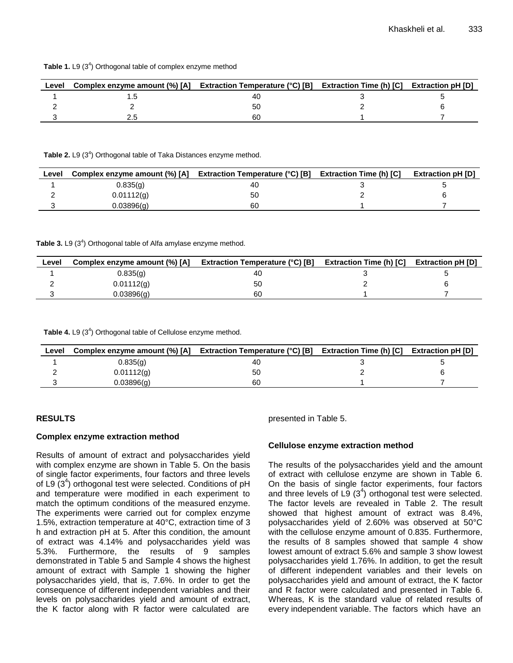|  | Table 1. L9 (3 <sup>4</sup> ) Orthogonal table of complex enzyme method |  |  |
|--|-------------------------------------------------------------------------|--|--|
|--|-------------------------------------------------------------------------|--|--|

| Level | Complex enzyme amount (%) [A] Extraction Temperature ( $^{\circ}$ C) [B] Extraction Time (h) [C] Extraction pH [D] |    |  |
|-------|--------------------------------------------------------------------------------------------------------------------|----|--|
|       |                                                                                                                    |    |  |
|       |                                                                                                                    | 50 |  |
|       |                                                                                                                    | 60 |  |

Table 2. L9 (3<sup>4</sup>) Orthogonal table of Taka Distances enzyme method.

| Level | Complex enzyme amount (%) [A] Extraction Temperature (°C) [B] Extraction Time (h) [C] |    | <b>Extraction pH [D]</b> |
|-------|---------------------------------------------------------------------------------------|----|--------------------------|
|       | 0.835(q)                                                                              | 40 |                          |
|       | 0.01112(q)                                                                            | 50 |                          |
|       | 0.03896(a)                                                                            | 60 |                          |

Table 3. L9 (3<sup>4</sup>) Orthogonal table of Alfa amylase enzyme method.

| Level | Complex enzyme amount (%) [A] | <b>Extraction Temperature (°C) [B]</b> | <b>Extraction Time (h) [C]</b> | <b>Extraction pH [D]</b> |
|-------|-------------------------------|----------------------------------------|--------------------------------|--------------------------|
|       | 0.835(q)                      | 40                                     |                                |                          |
|       | 0.01112(q)                    | 50                                     |                                |                          |
|       | 0.03896(g)                    | 60                                     |                                |                          |

Table 4. L9 (3<sup>4</sup>) Orthogonal table of Cellulose enzyme method.

| Level | Complex enzyme amount (%) [A] | <b>Extraction Temperature (°C) [B]</b> | <b>Extraction Time (h) [C]</b> | <b>Extraction pH [D]</b> |
|-------|-------------------------------|----------------------------------------|--------------------------------|--------------------------|
|       | 0.835(q)                      | 40                                     |                                |                          |
|       | 0.01112(q)                    | 50                                     |                                |                          |
|       | 0.03896(a)                    | 60                                     |                                |                          |

## **RESULTS**

#### **Complex enzyme extraction method**

Results of amount of extract and polysaccharides yield with complex enzyme are shown in Table 5. On the basis of single factor experiments, four factors and three levels of L9  $(3<sup>4</sup>)$  orthogonal test were selected. Conditions of pH and temperature were modified in each experiment to match the optimum conditions of the measured enzyme. The experiments were carried out for complex enzyme 1.5%, extraction temperature at 40°C, extraction time of 3 h and extraction pH at 5. After this condition, the amount of extract was 4.14% and polysaccharides yield was 5.3%. Furthermore, the results of 9 samples demonstrated in Table 5 and Sample 4 shows the highest amount of extract with Sample 1 showing the higher polysaccharides yield, that is, 7.6%. In order to get the consequence of different independent variables and their levels on polysaccharides yield and amount of extract, the K factor along with R factor were calculated are

presented in Table 5.

# **Cellulose enzyme extraction method**

The results of the polysaccharides yield and the amount of extract with cellulose enzyme are shown in Table 6. On the basis of single factor experiments, four factors and three levels of L9  $(3^4)$  orthogonal test were selected. The factor levels are revealed in Table 2. The result showed that highest amount of extract was 8.4%, polysaccharides yield of 2.60% was observed at 50°C with the cellulose enzyme amount of 0.835. Furthermore, the results of 8 samples showed that sample 4 show lowest amount of extract 5.6% and sample 3 show lowest polysaccharides yield 1.76%. In addition, to get the result of different independent variables and their levels on polysaccharides yield and amount of extract, the K factor and R factor were calculated and presented in Table 6. Whereas, K is the standard value of related results of every independent variable. The factors which have an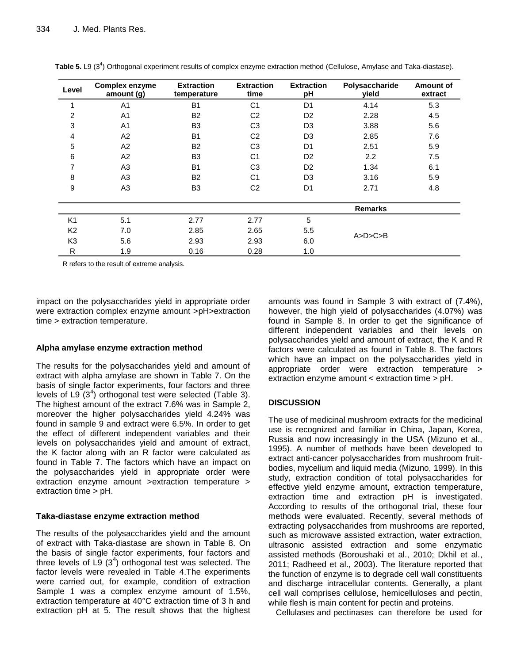| Level          | <b>Complex enzyme</b><br>amount (g) | <b>Extraction</b><br>temperature | <b>Extraction</b><br>time | <b>Extraction</b><br>pH | Polysaccharide<br>yield | Amount of<br>extract |
|----------------|-------------------------------------|----------------------------------|---------------------------|-------------------------|-------------------------|----------------------|
|                | A <sub>1</sub>                      | <b>B1</b>                        | C <sub>1</sub>            | D <sub>1</sub>          | 4.14                    | 5.3                  |
| 2              | A <sub>1</sub>                      | B <sub>2</sub>                   | C <sub>2</sub>            | D <sub>2</sub>          | 2.28                    | 4.5                  |
| 3              | A <sub>1</sub>                      | B <sub>3</sub>                   | C <sub>3</sub>            | D <sub>3</sub>          | 3.88                    | 5.6                  |
| 4              | A <sub>2</sub>                      | <b>B1</b>                        | C <sub>2</sub>            | D <sub>3</sub>          | 2.85                    | 7.6                  |
| 5              | A <sub>2</sub>                      | B <sub>2</sub>                   | C <sub>3</sub>            | D <sub>1</sub>          | 2.51                    | 5.9                  |
| 6              | A2                                  | B <sub>3</sub>                   | C <sub>1</sub>            | D <sub>2</sub>          | 2.2                     | 7.5                  |
| 7              | A3                                  | <b>B1</b>                        | C <sub>3</sub>            | D <sub>2</sub>          | 1.34                    | 6.1                  |
| 8              | A <sub>3</sub>                      | <b>B2</b>                        | C <sub>1</sub>            | D <sub>3</sub>          | 3.16                    | 5.9                  |
| 9              | A3                                  | B <sub>3</sub>                   | C <sub>2</sub>            | D <sub>1</sub>          | 2.71                    | 4.8                  |
|                |                                     |                                  |                           |                         | <b>Remarks</b>          |                      |
| K1             | 5.1                                 | 2.77                             | 2.77                      | 5                       |                         |                      |
| K <sub>2</sub> | 7.0                                 | 2.85                             | 2.65                      | 5.5                     |                         |                      |
| K <sub>3</sub> | 5.6                                 | 2.93                             | 2.93                      | 6.0                     | A>D>C>B                 |                      |
| R              | 1.9                                 | 0.16                             | 0.28                      | 1.0                     |                         |                      |

Table 5. L9 (3<sup>4</sup>) Orthogonal experiment results of complex enzyme extraction method (Cellulose, Amylase and Taka-diastase).

R refers to the result of extreme analysis.

impact on the polysaccharides yield in appropriate order were extraction complex enzyme amount >pH>extraction time > extraction temperature.

# **Alpha amylase enzyme extraction method**

The results for the polysaccharides yield and amount of extract with alpha amylase are shown in Table 7. On the basis of single factor experiments, four factors and three levels of L9  $(3<sup>4</sup>)$  orthogonal test were selected (Table 3). The highest amount of the extract 7.6% was in Sample 2, moreover the higher polysaccharides yield 4.24% was found in sample 9 and extract were 6.5%. In order to get the effect of different independent variables and their levels on polysaccharides yield and amount of extract, the K factor along with an R factor were calculated as found in Table 7. The factors which have an impact on the polysaccharides yield in appropriate order were extraction enzyme amount >extraction temperature > extraction time > pH.

# **Taka-diastase enzyme extraction method**

The results of the polysaccharides yield and the amount of extract with Taka-diastase are shown in Table 8. On the basis of single factor experiments, four factors and three levels of L9  $(3^4)$  orthogonal test was selected. The factor levels were revealed in Table 4.The experiments were carried out, for example, condition of extraction Sample 1 was a complex enzyme amount of 1.5%, extraction temperature at 40°C extraction time of 3 h and extraction pH at 5. The result shows that the highest

amounts was found in Sample 3 with extract of (7.4%), however, the high yield of polysaccharides (4.07%) was found in Sample 8. In order to get the significance of different independent variables and their levels on polysaccharides yield and amount of extract, the K and R factors were calculated as found in Table 8. The factors which have an impact on the polysaccharides yield in appropriate order were extraction temperature > extraction enzyme amount < extraction time > pH.

# **DISCUSSION**

The use of medicinal mushroom extracts for the medicinal use is recognized and familiar in China, Japan, Korea, Russia and now increasingly in the USA (Mizuno et al., 1995). A number of methods have been developed to extract anti-cancer polysaccharides from mushroom fruitbodies, mycelium and liquid media (Mizuno, 1999). In this study, extraction condition of total polysaccharides for effective yield enzyme amount, extraction temperature, extraction time and extraction pH is investigated. According to results of the orthogonal trial, these four methods were evaluated. Recently, several methods of extracting polysaccharides from mushrooms are reported, such as microwave assisted extraction, water extraction, ultrasonic assisted extraction and some enzymatic assisted methods (Boroushaki et al., 2010; Dkhil et al., 2011; Radheed et al., 2003). The literature reported that the function of enzyme is to degrade cell wall constituents and discharge intracellular contents. Generally, a plant cell wall comprises cellulose, hemicelluloses and pectin, while flesh is main content for pectin and proteins.

Cellulases and pectinases can therefore be used for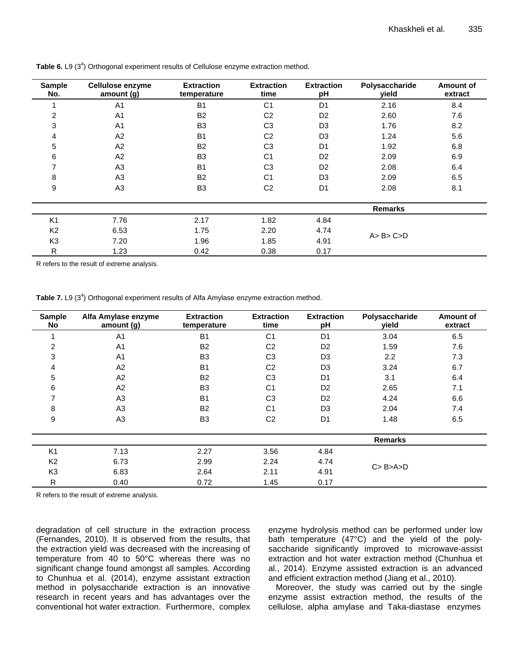| <b>Sample</b><br>No. | Cellulose enzyme<br>amount (g) | <b>Extraction</b><br>temperature | <b>Extraction</b><br>time | <b>Extraction</b><br>pH | Polysaccharide<br>yield | Amount of<br>extract |
|----------------------|--------------------------------|----------------------------------|---------------------------|-------------------------|-------------------------|----------------------|
|                      | A <sub>1</sub>                 | B <sub>1</sub>                   | C <sub>1</sub>            | D <sub>1</sub>          | 2.16                    | 8.4                  |
| $\overline{2}$       | A <sub>1</sub>                 | <b>B2</b>                        | C <sub>2</sub>            | D <sub>2</sub>          | 2.60                    | 7.6                  |
| 3                    | A <sub>1</sub>                 | B <sub>3</sub>                   | C <sub>3</sub>            | D <sub>3</sub>          | 1.76                    | 8.2                  |
| 4                    | A2                             | <b>B1</b>                        | C <sub>2</sub>            | D <sub>3</sub>          | 1.24                    | 5.6                  |
| 5                    | A2                             | <b>B2</b>                        | C <sub>3</sub>            | D <sub>1</sub>          | 1.92                    | 6.8                  |
| 6                    | A2                             | B <sub>3</sub>                   | C <sub>1</sub>            | D <sub>2</sub>          | 2.09                    | 6.9                  |
| 7                    | A <sub>3</sub>                 | B <sub>1</sub>                   | C <sub>3</sub>            | D <sub>2</sub>          | 2.08                    | 6.4                  |
| 8                    | A <sub>3</sub>                 | <b>B2</b>                        | C <sub>1</sub>            | D <sub>3</sub>          | 2.09                    | 6.5                  |
| 9                    | A <sub>3</sub>                 | B <sub>3</sub>                   | C <sub>2</sub>            | D <sub>1</sub>          | 2.08                    | 8.1                  |
|                      |                                |                                  |                           |                         | <b>Remarks</b>          |                      |
| K <sub>1</sub>       | 7.76                           | 2.17                             | 1.82                      | 4.84                    |                         |                      |
| K <sub>2</sub>       | 6.53                           | 1.75                             | 2.20                      | 4.74                    |                         |                      |
| K <sub>3</sub>       | 7.20                           | 1.96                             | 1.85                      | 4.91                    | A > B > C > D           |                      |
| R                    | 1.23                           | 0.42                             | 0.38                      | 0.17                    |                         |                      |

Table 6. L9 (3<sup>4</sup>) Orthogonal experiment results of Cellulose enzyme extraction method.

R refers to the result of extreme analysis.

Table 7. L9 (3<sup>4</sup>) Orthogonal experiment results of Alfa Amylase enzyme extraction method.

| <b>Sample</b><br><b>No</b> | Alfa Amylase enzyme<br>amount (g) | <b>Extraction</b><br>temperature | <b>Extraction</b><br>time | <b>Extraction</b><br>рH | Polysaccharide<br>vield | <b>Amount of</b><br>extract |
|----------------------------|-----------------------------------|----------------------------------|---------------------------|-------------------------|-------------------------|-----------------------------|
|                            | A <sub>1</sub>                    | B <sub>1</sub>                   | C <sub>1</sub>            | D <sub>1</sub>          | 3.04                    | 6.5                         |
| 2                          | A <sub>1</sub>                    | <b>B2</b>                        | C <sub>2</sub>            | D <sub>2</sub>          | 1.59                    | 7.6                         |
| 3                          | A <sub>1</sub>                    | B <sub>3</sub>                   | C <sub>3</sub>            | D <sub>3</sub>          | 2.2                     | 7.3                         |
| 4                          | A2                                | <b>B1</b>                        | C <sub>2</sub>            | D <sub>3</sub>          | 3.24                    | 6.7                         |
| 5                          | A2                                | <b>B2</b>                        | C <sub>3</sub>            | D <sub>1</sub>          | 3.1                     | 6.4                         |
| 6                          | A2                                | B <sub>3</sub>                   | C <sub>1</sub>            | D <sub>2</sub>          | 2.65                    | 7.1                         |
| ⇁                          | A <sub>3</sub>                    | <b>B1</b>                        | C <sub>3</sub>            | D <sub>2</sub>          | 4.24                    | 6.6                         |
| 8                          | A <sub>3</sub>                    | <b>B2</b>                        | C <sub>1</sub>            | D <sub>3</sub>          | 2.04                    | 7.4                         |
| 9                          | A <sub>3</sub>                    | B <sub>3</sub>                   | C <sub>2</sub>            | D <sub>1</sub>          | 1.48                    | 6.5                         |
|                            |                                   |                                  |                           |                         | <b>Remarks</b>          |                             |
| K <sub>1</sub>             | 7.13                              | 2.27                             | 3.56                      | 4.84                    |                         |                             |
| K <sub>2</sub>             | 6.73                              | 2.99                             | 2.24                      | 4.74                    |                         |                             |
| K <sub>3</sub>             | 6.83                              | 2.64                             | 2.11                      | 4.91                    | C > B > A > D           |                             |
| $\mathsf{R}$               | 0.40                              | 0.72                             | 1.45                      | 0.17                    |                         |                             |

R refers to the result of extreme analysis.

degradation of cell structure in the extraction process (Fernandes, 2010). It is observed from the results, that the extraction yield was decreased with the increasing of temperature from 40 to 50°C whereas there was no significant change found amongst all samples. According to Chunhua et al. (2014), enzyme assistant extraction method in polysaccharide extraction is an innovative research in recent years and has advantages over the conventional hot water extraction. Furthermore, complex

enzyme hydrolysis method can be performed under low bath temperature (47°C) and the yield of the polysaccharide significantly improved to microwave-assist extraction and hot water extraction method (Chunhua et al., 2014). Enzyme assisted extraction is an advanced and efficient extraction method (Jiang et al., 2010).

Moreover, the study was carried out by the single enzyme assist extraction method, the results of the cellulose, alpha amylase and Taka-diastase enzymes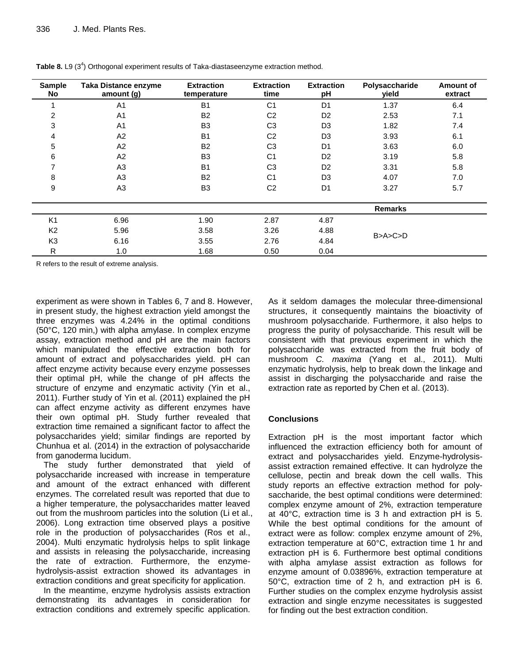| <b>Sample</b><br>No | <b>Taka Distance enzyme</b><br>amount (g) | <b>Extraction</b><br>temperature | <b>Extraction</b><br>time | <b>Extraction</b><br>pH | Polysaccharide<br>vield | Amount of<br>extract |
|---------------------|-------------------------------------------|----------------------------------|---------------------------|-------------------------|-------------------------|----------------------|
|                     | A <sub>1</sub>                            | <b>B1</b>                        | C <sub>1</sub>            | D <sub>1</sub>          | 1.37                    | 6.4                  |
| 2                   | A <sub>1</sub>                            | <b>B2</b>                        | C <sub>2</sub>            | D <sub>2</sub>          | 2.53                    | 7.1                  |
| 3                   | A <sub>1</sub>                            | B <sub>3</sub>                   | C <sub>3</sub>            | D <sub>3</sub>          | 1.82                    | 7.4                  |
| 4                   | A2                                        | <b>B1</b>                        | C <sub>2</sub>            | D <sub>3</sub>          | 3.93                    | 6.1                  |
| 5                   | A2                                        | B <sub>2</sub>                   | C <sub>3</sub>            | D <sub>1</sub>          | 3.63                    | 6.0                  |
| 6                   | A2                                        | B <sub>3</sub>                   | C <sub>1</sub>            | D <sub>2</sub>          | 3.19                    | 5.8                  |
|                     | A <sub>3</sub>                            | <b>B1</b>                        | C <sub>3</sub>            | D <sub>2</sub>          | 3.31                    | 5.8                  |
| 8                   | A <sub>3</sub>                            | <b>B2</b>                        | C <sub>1</sub>            | D <sub>3</sub>          | 4.07                    | 7.0                  |
| 9                   | A <sub>3</sub>                            | B <sub>3</sub>                   | C <sub>2</sub>            | D <sub>1</sub>          | 3.27                    | 5.7                  |
|                     |                                           |                                  |                           |                         | <b>Remarks</b>          |                      |
| K <sub>1</sub>      | 6.96                                      | 1.90                             | 2.87                      | 4.87                    |                         |                      |
| K <sub>2</sub>      | 5.96                                      | 3.58                             | 3.26                      | 4.88                    |                         |                      |
| K <sub>3</sub>      | 6.16                                      | 3.55                             | 2.76                      | 4.84                    | B > A > C > D           |                      |
| R                   | 1.0                                       | 1.68                             | 0.50                      | 0.04                    |                         |                      |

Table 8. L9 (3<sup>4</sup>) Orthogonal experiment results of Taka-diastaseenzyme extraction method.

R refers to the result of extreme analysis.

experiment as were shown in Tables 6, 7 and 8. However, in present study, the highest extraction yield amongst the three enzymes was 4.24% in the optimal conditions (50°C, 120 min,) with alpha amylase. In complex enzyme assay, extraction method and pH are the main factors which manipulated the effective extraction both for amount of extract and polysaccharides yield. pH can affect enzyme activity because every enzyme possesses their optimal pH, while the change of pH affects the structure of enzyme and enzymatic activity (Yin et al., 2011). Further study of Yin et al. (2011) explained the pH can affect enzyme activity as different enzymes have their own optimal pH. Study further revealed that extraction time remained a significant factor to affect the polysaccharides yield; similar findings are reported by Chunhua et al. (2014) in the extraction of polysaccharide from ganoderma lucidum.

The study further demonstrated that yield of polysaccharide increased with increase in temperature and amount of the extract enhanced with different enzymes. The correlated result was reported that due to a higher temperature, the polysaccharides matter leaved out from the mushroom particles into the solution (Li et al., 2006). Long extraction time observed plays a positive role in the production of polysaccharides (Ros et al., 2004). Multi enzymatic hydrolysis helps to split linkage and assists in releasing the polysaccharide, increasing the rate of extraction. Furthermore, the enzymehydrolysis-assist extraction showed its advantages in extraction conditions and great specificity for application.

In the meantime, enzyme hydrolysis assists extraction demonstrating its advantages in consideration for extraction conditions and extremely specific application.

As it seldom damages the molecular three-dimensional structures, it consequently maintains the bioactivity of mushroom polysaccharide. Furthermore, it also helps to progress the purity of polysaccharide. This result will be consistent with that previous experiment in which the polysaccharide was extracted from the fruit body of mushroom *C. maxima* (Yang et al., 2011). Multi enzymatic hydrolysis, help to break down the linkage and assist in discharging the polysaccharide and raise the extraction rate as reported by Chen et al. (2013).

# **Conclusions**

Extraction pH is the most important factor which influenced the extraction efficiency both for amount of extract and polysaccharides yield. Enzyme-hydrolysisassist extraction remained effective. It can hydrolyze the cellulose, pectin and break down the cell walls. This study reports an effective extraction method for polysaccharide, the best optimal conditions were determined: complex enzyme amount of 2%, extraction temperature at 40°C, extraction time is 3 h and extraction pH is 5. While the best optimal conditions for the amount of extract were as follow: complex enzyme amount of 2%, extraction temperature at 60°C, extraction time 1 hr and extraction pH is 6. Furthermore best optimal conditions with alpha amylase assist extraction as follows for enzyme amount of 0.03896%, extraction temperature at 50°C, extraction time of 2 h, and extraction pH is 6. Further studies on the complex enzyme hydrolysis assist extraction and single enzyme necessitates is suggested for finding out the best extraction condition.